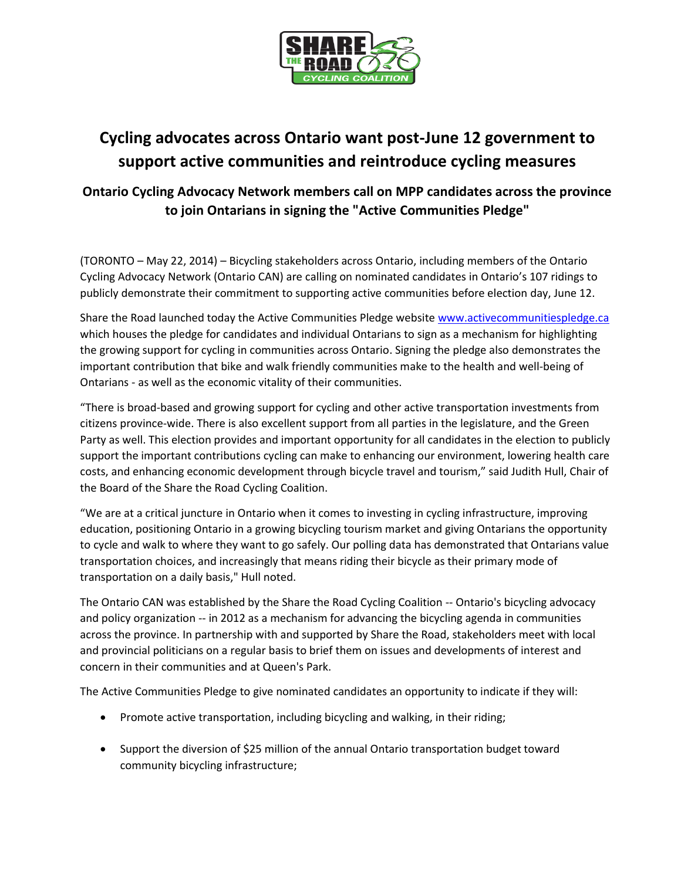

## **Cycling advocates across Ontario want post-June 12 government to support active communities and reintroduce cycling measures**

## **Ontario Cycling Advocacy Network members call on MPP candidates across the province to join Ontarians in signing the "Active Communities Pledge"**

(TORONTO – May 22, 2014) – Bicycling stakeholders across Ontario, including members of the Ontario Cycling Advocacy Network (Ontario CAN) are calling on nominated candidates in Ontario's 107 ridings to publicly demonstrate their commitment to supporting active communities before election day, June 12.

Share the Road launched today the Active Communities Pledge websit[e www.activecommunitiespledge.ca](http://www.activecommunitiespledge.ca/) which houses the pledge for candidates and individual Ontarians to sign as a mechanism for highlighting the growing support for cycling in communities across Ontario. Signing the pledge also demonstrates the important contribution that bike and walk friendly communities make to the health and well-being of Ontarians - as well as the economic vitality of their communities.

"There is broad-based and growing support for cycling and other active transportation investments from citizens province-wide. There is also excellent support from all parties in the legislature, and the Green Party as well. This election provides and important opportunity for all candidates in the election to publicly support the important contributions cycling can make to enhancing our environment, lowering health care costs, and enhancing economic development through bicycle travel and tourism," said Judith Hull, Chair of the Board of the Share the Road Cycling Coalition.

"We are at a critical juncture in Ontario when it comes to investing in cycling infrastructure, improving education, positioning Ontario in a growing bicycling tourism market and giving Ontarians the opportunity to cycle and walk to where they want to go safely. Our polling data has demonstrated that Ontarians value transportation choices, and increasingly that means riding their bicycle as their primary mode of transportation on a daily basis," Hull noted.

The Ontario CAN was established by the Share the Road Cycling Coalition -- Ontario's bicycling advocacy and policy organization -- in 2012 as a mechanism for advancing the bicycling agenda in communities across the province. In partnership with and supported by Share the Road, stakeholders meet with local and provincial politicians on a regular basis to brief them on issues and developments of interest and concern in their communities and at Queen's Park.

The Active Communities Pledge to give nominated candidates an opportunity to indicate if they will:

- Promote active transportation, including bicycling and walking, in their riding;
- Support the diversion of \$25 million of the annual Ontario transportation budget toward community bicycling infrastructure;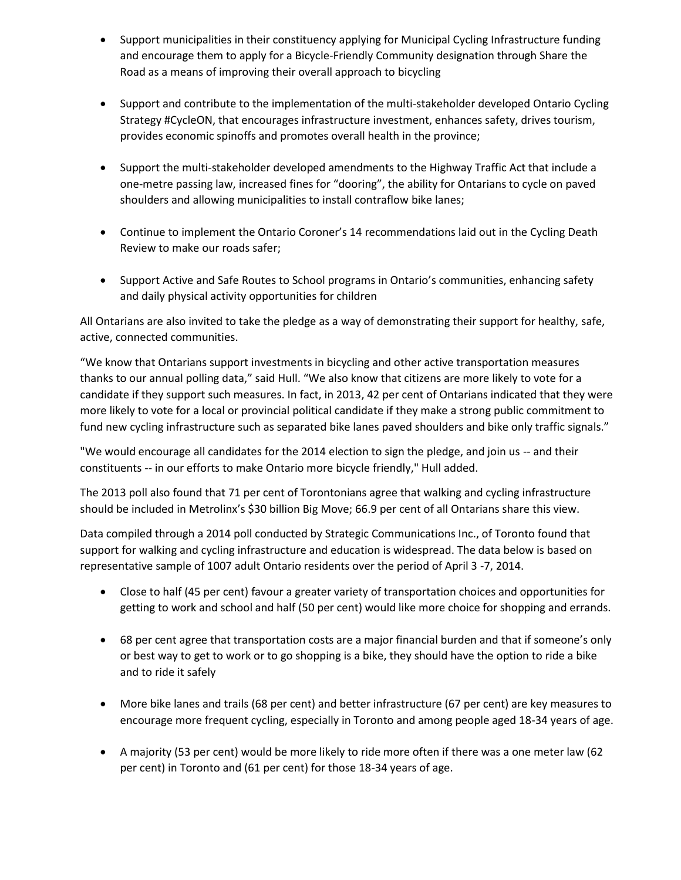- Support municipalities in their constituency applying for Municipal Cycling Infrastructure funding and encourage them to apply for a Bicycle-Friendly Community designation through Share the Road as a means of improving their overall approach to bicycling
- Support and contribute to the implementation of the multi-stakeholder developed Ontario Cycling Strategy #CycleON, that encourages infrastructure investment, enhances safety, drives tourism, provides economic spinoffs and promotes overall health in the province;
- Support the multi-stakeholder developed amendments to the Highway Traffic Act that include a one-metre passing law, increased fines for "dooring", the ability for Ontarians to cycle on paved shoulders and allowing municipalities to install contraflow bike lanes;
- Continue to implement the Ontario Coroner's 14 recommendations laid out in the Cycling Death Review to make our roads safer;
- Support Active and Safe Routes to School programs in Ontario's communities, enhancing safety and daily physical activity opportunities for children

All Ontarians are also invited to take the pledge as a way of demonstrating their support for healthy, safe, active, connected communities.

"We know that Ontarians support investments in bicycling and other active transportation measures thanks to our annual polling data," said Hull. "We also know that citizens are more likely to vote for a candidate if they support such measures. In fact, in 2013, 42 per cent of Ontarians indicated that they were more likely to vote for a local or provincial political candidate if they make a strong public commitment to fund new cycling infrastructure such as separated bike lanes paved shoulders and bike only traffic signals."

"We would encourage all candidates for the 2014 election to sign the pledge, and join us -- and their constituents -- in our efforts to make Ontario more bicycle friendly," Hull added.

The 2013 poll also found that 71 per cent of Torontonians agree that walking and cycling infrastructure should be included in Metrolinx's \$30 billion Big Move; 66.9 per cent of all Ontarians share this view.

Data compiled through a 2014 poll conducted by Strategic Communications Inc., of Toronto found that support for walking and cycling infrastructure and education is widespread. The data below is based on representative sample of 1007 adult Ontario residents over the period of April 3 -7, 2014.

- Close to half (45 per cent) favour a greater variety of transportation choices and opportunities for getting to work and school and half (50 per cent) would like more choice for shopping and errands.
- 68 per cent agree that transportation costs are a major financial burden and that if someone's only or best way to get to work or to go shopping is a bike, they should have the option to ride a bike and to ride it safely
- More bike lanes and trails (68 per cent) and better infrastructure (67 per cent) are key measures to encourage more frequent cycling, especially in Toronto and among people aged 18-34 years of age.
- A majority (53 per cent) would be more likely to ride more often if there was a one meter law (62 per cent) in Toronto and (61 per cent) for those 18-34 years of age.